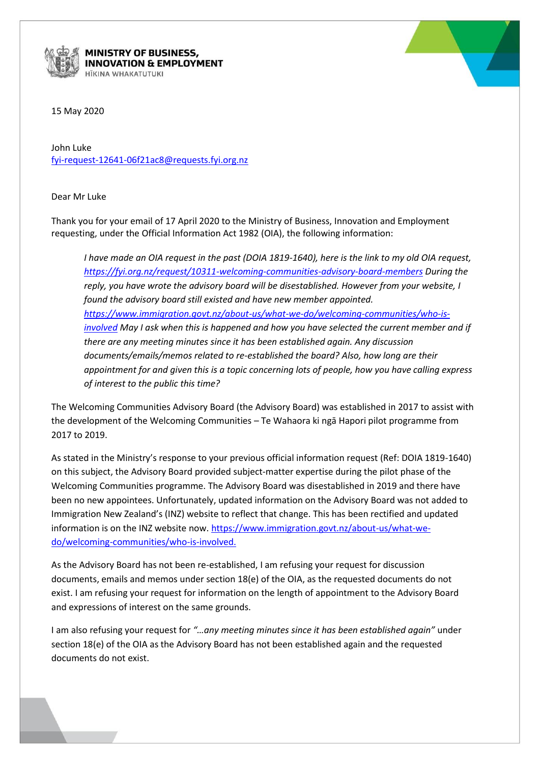

**MINISTRY OF BUSINESS, NNOVATION & EMPLOYMENT** 



15 May 2020

John Luke [fyi-request-12641-06f21ac8@requests.fyi.org.nz](mailto:xxxxxxxxxxxxxxxxxxxxxxxxxx@xxxxxxxx.xxx.xxx.xx)

Dear Mr Luke

Thank you for your email of 17 April 2020 to the Ministry of Business, Innovation and Employment requesting, under the Official Information Act 1982 (OIA), the following information:

*I have made an OIA request in the past (DOIA 1819-1640), here is the link to my old OIA request, <https://fyi.org.nz/request/10311-welcoming-communities-advisory-board-members> During the reply, you have wrote the advisory board will be disestablished. However from your website, I found the advisory board still existed and have new member appointed. [https://www.immigration.govt.nz/about-us/what-we-do/welcoming-communities/who-is](https://www.immigration.govt.nz/about-us/what-we-do/welcoming-communities/who-is-involved)[involved](https://www.immigration.govt.nz/about-us/what-we-do/welcoming-communities/who-is-involved) May I ask when this is happened and how you have selected the current member and if there are any meeting minutes since it has been established again. Any discussion documents/emails/memos related to re-established the board? Also, how long are their appointment for and given this is a topic concerning lots of people, how you have calling express of interest to the public this time?*

The Welcoming Communities Advisory Board (the Advisory Board) was established in 2017 to assist with the development of the Welcoming Communities – Te Wahaora ki ngā Hapori pilot programme from 2017 to 2019.

As stated in the Ministry's response to your previous official information request (Ref: DOIA 1819-1640) on this subject, the Advisory Board provided subject-matter expertise during the pilot phase of the Welcoming Communities programme. The Advisory Board was disestablished in 2019 and there have been no new appointees. Unfortunately, updated information on the Advisory Board was not added to Immigration New Zealand's (INZ) website to reflect that change. This has been rectified and updated information is on the INZ website now. [https://www.immigration.govt.nz/about-us/what-we](https://www.immigration.govt.nz/about-us/what-we-do/welcoming-communities/who-is-involved)[do/welcoming-communities/who-is-involved.](https://www.immigration.govt.nz/about-us/what-we-do/welcoming-communities/who-is-involved)

As the Advisory Board has not been re-established, I am refusing your request for discussion documents, emails and memos under section 18(e) of the OIA, as the requested documents do not exist. I am refusing your request for information on the length of appointment to the Advisory Board and expressions of interest on the same grounds.

I am also refusing your request for *"…any meeting minutes since it has been established again"* under section 18(e) of the OIA as the Advisory Board has not been established again and the requested documents do not exist.